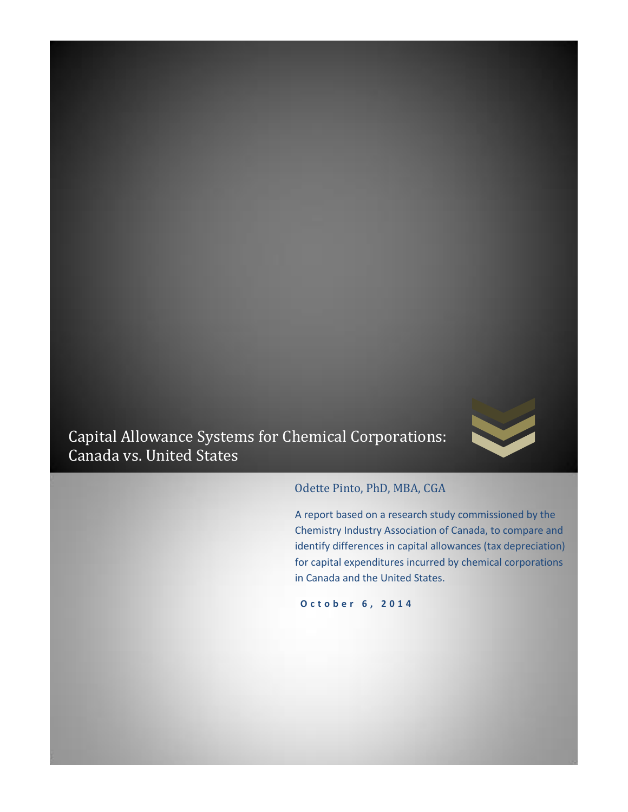

Capital Allowance Systems for Chemical Corporations: Canada vs. United States

# Odette Pinto, PhD, MBA, CGA

A report based on a research study commissioned by the Chemistry Industry Association of Canada, to compare and identify differences in capital allowances (tax depreciation) for capital expenditures incurred by chemical corporations in Canada and the United States.

**O c t o b e r 6 , 2 0 1 4**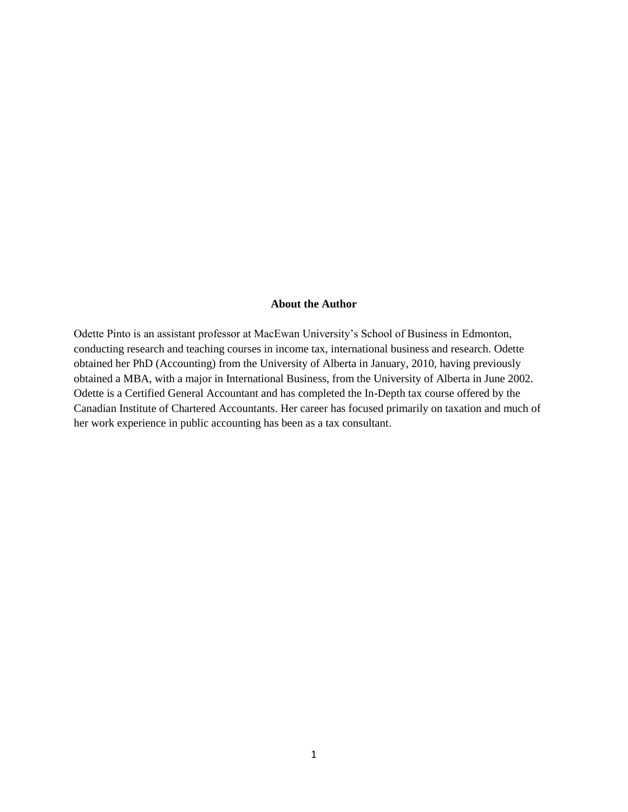## **About the Author**

Odette Pinto is an assistant professor at MacEwan University's School of Business in Edmonton, conducting research and teaching courses in income tax, international business and research. Odette obtained her PhD (Accounting) from the University of Alberta in January, 2010, having previously obtained a MBA, with a major in International Business, from the University of Alberta in June 2002. Odette is a Certified General Accountant and has completed the In-Depth tax course offered by the Canadian Institute of Chartered Accountants. Her career has focused primarily on taxation and much of her work experience in public accounting has been as a tax consultant.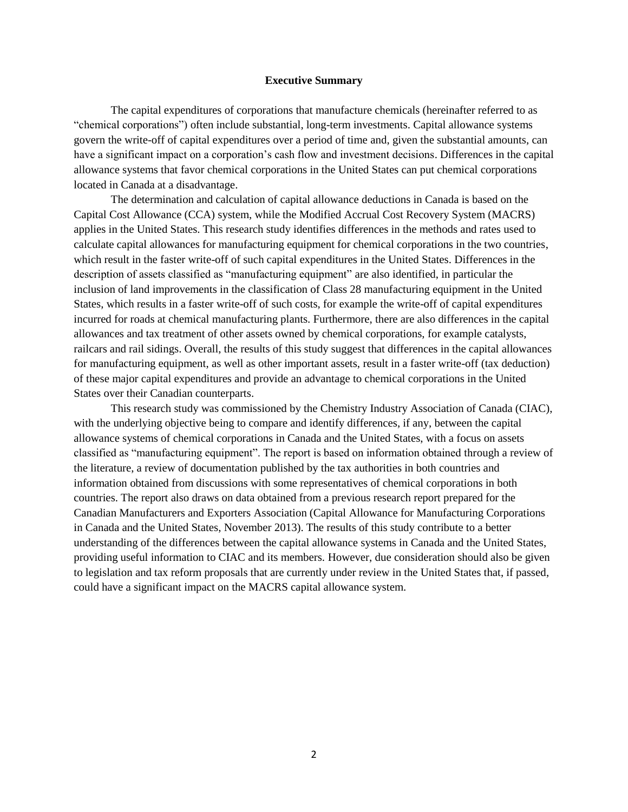#### **Executive Summary**

The capital expenditures of corporations that manufacture chemicals (hereinafter referred to as "chemical corporations") often include substantial, long-term investments. Capital allowance systems govern the write-off of capital expenditures over a period of time and, given the substantial amounts, can have a significant impact on a corporation's cash flow and investment decisions. Differences in the capital allowance systems that favor chemical corporations in the United States can put chemical corporations located in Canada at a disadvantage.

The determination and calculation of capital allowance deductions in Canada is based on the Capital Cost Allowance (CCA) system, while the Modified Accrual Cost Recovery System (MACRS) applies in the United States. This research study identifies differences in the methods and rates used to calculate capital allowances for manufacturing equipment for chemical corporations in the two countries, which result in the faster write-off of such capital expenditures in the United States. Differences in the description of assets classified as "manufacturing equipment" are also identified, in particular the inclusion of land improvements in the classification of Class 28 manufacturing equipment in the United States, which results in a faster write-off of such costs, for example the write-off of capital expenditures incurred for roads at chemical manufacturing plants. Furthermore, there are also differences in the capital allowances and tax treatment of other assets owned by chemical corporations, for example catalysts, railcars and rail sidings. Overall, the results of this study suggest that differences in the capital allowances for manufacturing equipment, as well as other important assets, result in a faster write-off (tax deduction) of these major capital expenditures and provide an advantage to chemical corporations in the United States over their Canadian counterparts.

This research study was commissioned by the Chemistry Industry Association of Canada (CIAC), with the underlying objective being to compare and identify differences, if any, between the capital allowance systems of chemical corporations in Canada and the United States, with a focus on assets classified as "manufacturing equipment". The report is based on information obtained through a review of the literature, a review of documentation published by the tax authorities in both countries and information obtained from discussions with some representatives of chemical corporations in both countries. The report also draws on data obtained from a previous research report prepared for the Canadian Manufacturers and Exporters Association (Capital Allowance for Manufacturing Corporations in Canada and the United States, November 2013). The results of this study contribute to a better understanding of the differences between the capital allowance systems in Canada and the United States, providing useful information to CIAC and its members. However, due consideration should also be given to legislation and tax reform proposals that are currently under review in the United States that, if passed, could have a significant impact on the MACRS capital allowance system.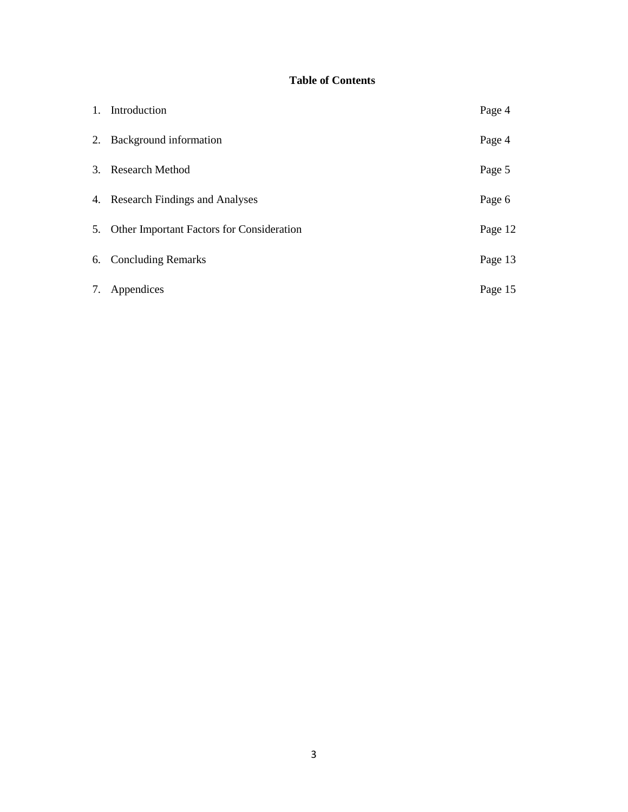# **Table of Contents**

| 1. Introduction                              | Page 4  |
|----------------------------------------------|---------|
| 2. Background information                    | Page 4  |
| 3. Research Method                           | Page 5  |
| 4. Research Findings and Analyses            | Page 6  |
| 5. Other Important Factors for Consideration | Page 12 |
| 6. Concluding Remarks                        | Page 13 |
| 7. Appendices                                | Page 15 |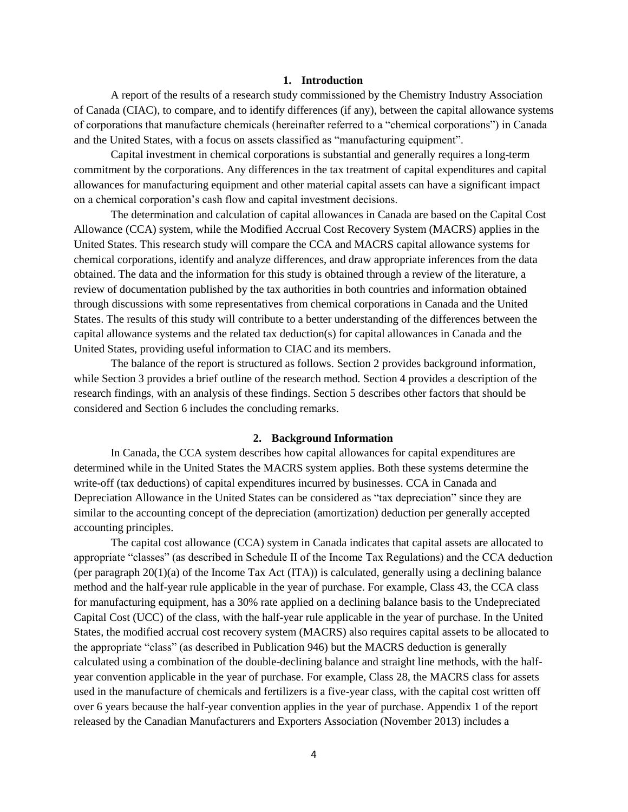#### **1. Introduction**

A report of the results of a research study commissioned by the Chemistry Industry Association of Canada (CIAC), to compare, and to identify differences (if any), between the capital allowance systems of corporations that manufacture chemicals (hereinafter referred to a "chemical corporations") in Canada and the United States, with a focus on assets classified as "manufacturing equipment".

Capital investment in chemical corporations is substantial and generally requires a long-term commitment by the corporations. Any differences in the tax treatment of capital expenditures and capital allowances for manufacturing equipment and other material capital assets can have a significant impact on a chemical corporation's cash flow and capital investment decisions.

The determination and calculation of capital allowances in Canada are based on the Capital Cost Allowance (CCA) system, while the Modified Accrual Cost Recovery System (MACRS) applies in the United States. This research study will compare the CCA and MACRS capital allowance systems for chemical corporations, identify and analyze differences, and draw appropriate inferences from the data obtained. The data and the information for this study is obtained through a review of the literature, a review of documentation published by the tax authorities in both countries and information obtained through discussions with some representatives from chemical corporations in Canada and the United States. The results of this study will contribute to a better understanding of the differences between the capital allowance systems and the related tax deduction(s) for capital allowances in Canada and the United States, providing useful information to CIAC and its members.

The balance of the report is structured as follows. Section 2 provides background information, while Section 3 provides a brief outline of the research method. Section 4 provides a description of the research findings, with an analysis of these findings. Section 5 describes other factors that should be considered and Section 6 includes the concluding remarks.

#### **2. Background Information**

In Canada, the CCA system describes how capital allowances for capital expenditures are determined while in the United States the MACRS system applies. Both these systems determine the write-off (tax deductions) of capital expenditures incurred by businesses. CCA in Canada and Depreciation Allowance in the United States can be considered as "tax depreciation" since they are similar to the accounting concept of the depreciation (amortization) deduction per generally accepted accounting principles.

The capital cost allowance (CCA) system in Canada indicates that capital assets are allocated to appropriate "classes" (as described in Schedule II of the Income Tax Regulations) and the CCA deduction (per paragraph  $20(1)(a)$  of the Income Tax Act (ITA)) is calculated, generally using a declining balance method and the half-year rule applicable in the year of purchase. For example, Class 43, the CCA class for manufacturing equipment, has a 30% rate applied on a declining balance basis to the Undepreciated Capital Cost (UCC) of the class, with the half-year rule applicable in the year of purchase. In the United States, the modified accrual cost recovery system (MACRS) also requires capital assets to be allocated to the appropriate "class" (as described in Publication 946) but the MACRS deduction is generally calculated using a combination of the double-declining balance and straight line methods, with the halfyear convention applicable in the year of purchase. For example, Class 28, the MACRS class for assets used in the manufacture of chemicals and fertilizers is a five-year class, with the capital cost written off over 6 years because the half-year convention applies in the year of purchase. Appendix 1 of the report released by the Canadian Manufacturers and Exporters Association (November 2013) includes a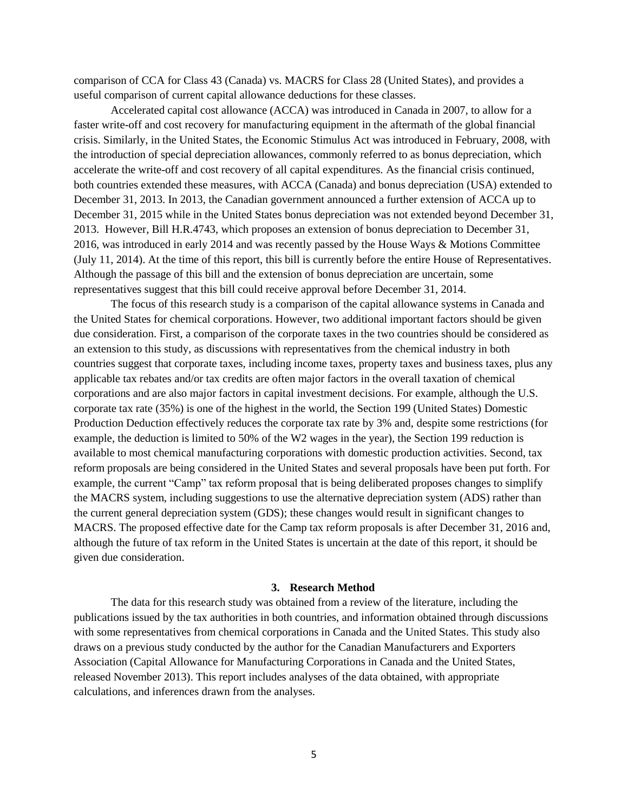comparison of CCA for Class 43 (Canada) vs. MACRS for Class 28 (United States), and provides a useful comparison of current capital allowance deductions for these classes.

Accelerated capital cost allowance (ACCA) was introduced in Canada in 2007, to allow for a faster write-off and cost recovery for manufacturing equipment in the aftermath of the global financial crisis. Similarly, in the United States, the Economic Stimulus Act was introduced in February, 2008, with the introduction of special depreciation allowances, commonly referred to as bonus depreciation, which accelerate the write-off and cost recovery of all capital expenditures. As the financial crisis continued, both countries extended these measures, with ACCA (Canada) and bonus depreciation (USA) extended to December 31, 2013. In 2013, the Canadian government announced a further extension of ACCA up to December 31, 2015 while in the United States bonus depreciation was not extended beyond December 31, 2013. However, Bill H.R.4743, which proposes an extension of bonus depreciation to December 31, 2016, was introduced in early 2014 and was recently passed by the House Ways & Motions Committee (July 11, 2014). At the time of this report, this bill is currently before the entire House of Representatives. Although the passage of this bill and the extension of bonus depreciation are uncertain, some representatives suggest that this bill could receive approval before December 31, 2014.

The focus of this research study is a comparison of the capital allowance systems in Canada and the United States for chemical corporations. However, two additional important factors should be given due consideration. First, a comparison of the corporate taxes in the two countries should be considered as an extension to this study, as discussions with representatives from the chemical industry in both countries suggest that corporate taxes, including income taxes, property taxes and business taxes, plus any applicable tax rebates and/or tax credits are often major factors in the overall taxation of chemical corporations and are also major factors in capital investment decisions. For example, although the U.S. corporate tax rate (35%) is one of the highest in the world, the Section 199 (United States) Domestic Production Deduction effectively reduces the corporate tax rate by 3% and, despite some restrictions (for example, the deduction is limited to 50% of the W2 wages in the year), the Section 199 reduction is available to most chemical manufacturing corporations with domestic production activities. Second, tax reform proposals are being considered in the United States and several proposals have been put forth. For example, the current "Camp" tax reform proposal that is being deliberated proposes changes to simplify the MACRS system, including suggestions to use the alternative depreciation system (ADS) rather than the current general depreciation system (GDS); these changes would result in significant changes to MACRS. The proposed effective date for the Camp tax reform proposals is after December 31, 2016 and, although the future of tax reform in the United States is uncertain at the date of this report, it should be given due consideration.

#### **3. Research Method**

The data for this research study was obtained from a review of the literature, including the publications issued by the tax authorities in both countries, and information obtained through discussions with some representatives from chemical corporations in Canada and the United States. This study also draws on a previous study conducted by the author for the Canadian Manufacturers and Exporters Association (Capital Allowance for Manufacturing Corporations in Canada and the United States, released November 2013). This report includes analyses of the data obtained, with appropriate calculations, and inferences drawn from the analyses.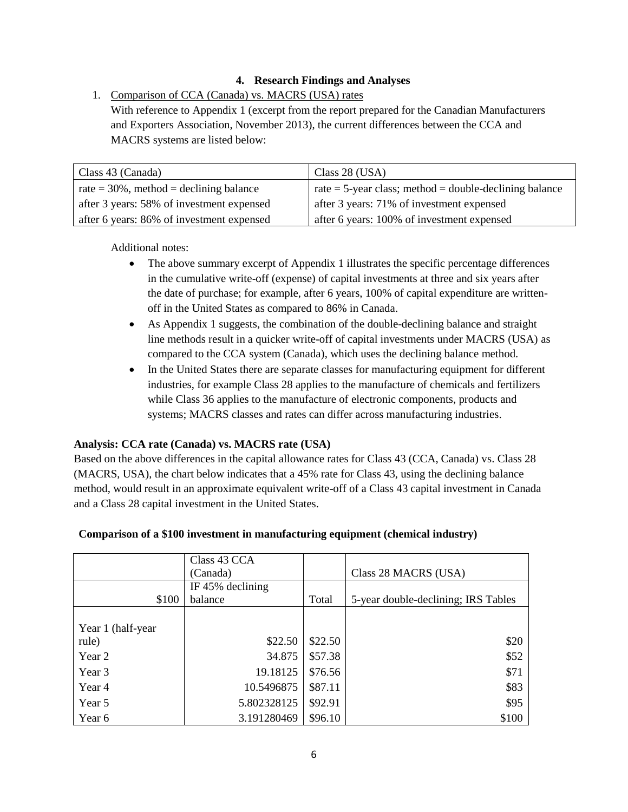# **4. Research Findings and Analyses**

1. Comparison of CCA (Canada) vs. MACRS (USA) rates With reference to Appendix 1 (excerpt from the report prepared for the Canadian Manufacturers and Exporters Association, November 2013), the current differences between the CCA and MACRS systems are listed below:

| Class 43 (Canada)                          | Class 28 (USA)                                                |
|--------------------------------------------|---------------------------------------------------------------|
| rate $=$ 30%, method $=$ declining balance | $\tau$ rate = 5-year class; method = double-declining balance |
| after 3 years: 58% of investment expensed  | after 3 years: 71% of investment expensed                     |
| after 6 years: 86% of investment expensed  | after 6 years: 100% of investment expensed                    |

Additional notes:

- The above summary excerpt of Appendix 1 illustrates the specific percentage differences in the cumulative write-off (expense) of capital investments at three and six years after the date of purchase; for example, after 6 years, 100% of capital expenditure are writtenoff in the United States as compared to 86% in Canada.
- As Appendix 1 suggests, the combination of the double-declining balance and straight line methods result in a quicker write-off of capital investments under MACRS (USA) as compared to the CCA system (Canada), which uses the declining balance method.
- In the United States there are separate classes for manufacturing equipment for different industries, for example Class 28 applies to the manufacture of chemicals and fertilizers while Class 36 applies to the manufacture of electronic components, products and systems; MACRS classes and rates can differ across manufacturing industries.

# **Analysis: CCA rate (Canada) vs. MACRS rate (USA)**

Based on the above differences in the capital allowance rates for Class 43 (CCA, Canada) vs. Class 28 (MACRS, USA), the chart below indicates that a 45% rate for Class 43, using the declining balance method, would result in an approximate equivalent write-off of a Class 43 capital investment in Canada and a Class 28 capital investment in the United States.

|                   | Class 43 CCA |         |                                     |
|-------------------|--------------|---------|-------------------------------------|
|                   | (Canada)     |         | Class 28 MACRS (USA)                |
| IF 45% declining  |              |         |                                     |
| \$100             | balance      | Total   | 5-year double-declining; IRS Tables |
|                   |              |         |                                     |
| Year 1 (half-year |              |         |                                     |
| rule)             | \$22.50      | \$22.50 | \$20                                |
| Year 2            | 34.875       | \$57.38 | \$52                                |
| Year 3            | 19.18125     | \$76.56 | \$71                                |
| Year 4            | 10.5496875   | \$87.11 | \$83                                |
| Year 5            | 5.802328125  | \$92.91 | \$95                                |
| Year 6            | 3.191280469  | \$96.10 | \$100                               |

## **Comparison of a \$100 investment in manufacturing equipment (chemical industry)**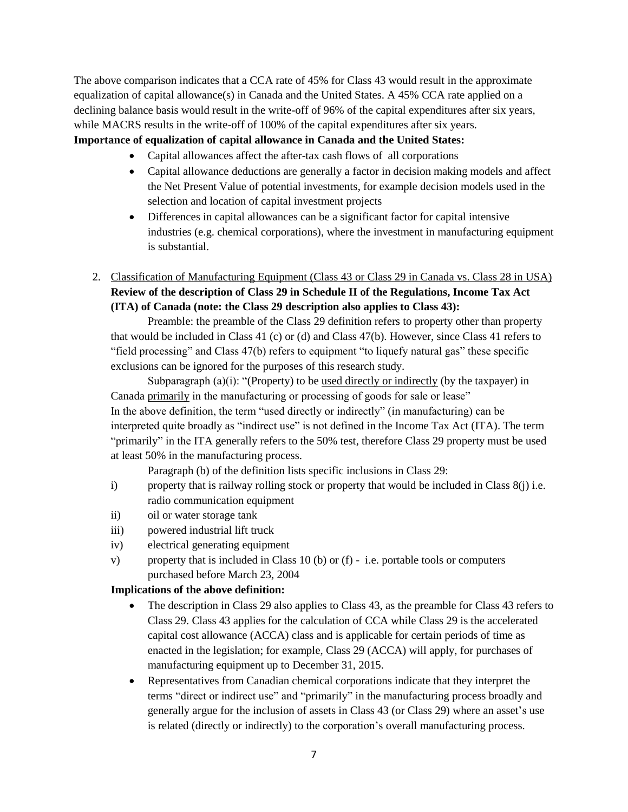The above comparison indicates that a CCA rate of 45% for Class 43 would result in the approximate equalization of capital allowance(s) in Canada and the United States. A 45% CCA rate applied on a declining balance basis would result in the write-off of 96% of the capital expenditures after six years, while MACRS results in the write-off of 100% of the capital expenditures after six years.

# **Importance of equalization of capital allowance in Canada and the United States:**

- Capital allowances affect the after-tax cash flows of all corporations
- Capital allowance deductions are generally a factor in decision making models and affect the Net Present Value of potential investments, for example decision models used in the selection and location of capital investment projects
- Differences in capital allowances can be a significant factor for capital intensive industries (e.g. chemical corporations), where the investment in manufacturing equipment is substantial.
- 2. Classification of Manufacturing Equipment (Class 43 or Class 29 in Canada vs. Class 28 in USA) **Review of the description of Class 29 in Schedule II of the Regulations, Income Tax Act (ITA) of Canada (note: the Class 29 description also applies to Class 43):**

Preamble: the preamble of the Class 29 definition refers to property other than property that would be included in Class 41 (c) or (d) and Class 47(b). However, since Class 41 refers to "field processing" and Class 47(b) refers to equipment "to liquefy natural gas" these specific exclusions can be ignored for the purposes of this research study.

Subparagraph  $(a)(i)$ : "(Property) to be used directly or indirectly (by the taxpayer) in Canada primarily in the manufacturing or processing of goods for sale or lease" In the above definition, the term "used directly or indirectly" (in manufacturing) can be interpreted quite broadly as "indirect use" is not defined in the Income Tax Act (ITA). The term "primarily" in the ITA generally refers to the 50% test, therefore Class 29 property must be used at least 50% in the manufacturing process.

Paragraph (b) of the definition lists specific inclusions in Class 29:

- i) property that is railway rolling stock or property that would be included in Class 8(j) i.e. radio communication equipment
- ii) oil or water storage tank
- iii) powered industrial lift truck
- iv) electrical generating equipment
- v) property that is included in Class 10 (b) or  $(f)$  i.e. portable tools or computers purchased before March 23, 2004

# **Implications of the above definition:**

- The description in Class 29 also applies to Class 43, as the preamble for Class 43 refers to Class 29. Class 43 applies for the calculation of CCA while Class 29 is the accelerated capital cost allowance (ACCA) class and is applicable for certain periods of time as enacted in the legislation; for example, Class 29 (ACCA) will apply, for purchases of manufacturing equipment up to December 31, 2015.
- Representatives from Canadian chemical corporations indicate that they interpret the terms "direct or indirect use" and "primarily" in the manufacturing process broadly and generally argue for the inclusion of assets in Class 43 (or Class 29) where an asset's use is related (directly or indirectly) to the corporation's overall manufacturing process.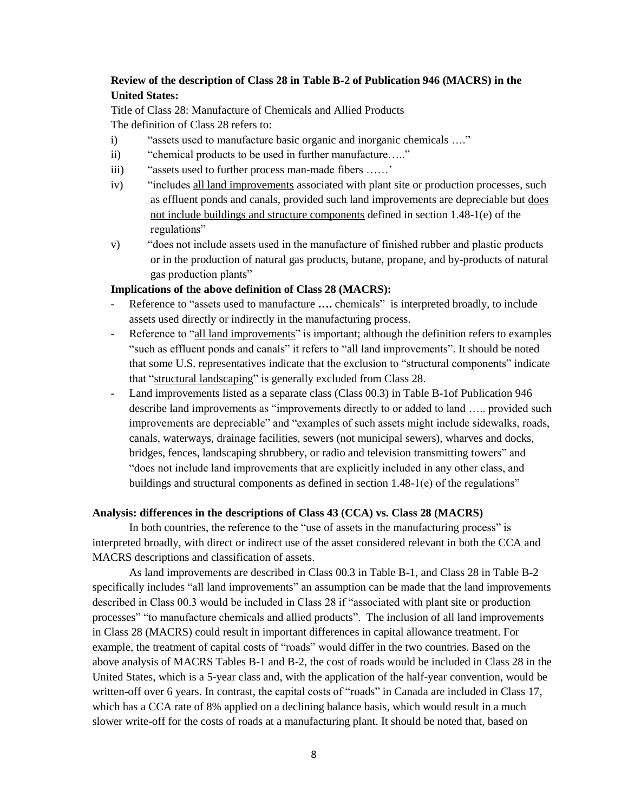## **Review of the description of Class 28 in Table B-2 of Publication 946 (MACRS) in the United States:**

Title of Class 28: Manufacture of Chemicals and Allied Products The definition of Class 28 refers to:

- i) "assets used to manufacture basic organic and inorganic chemicals …."
- ii) "chemical products to be used in further manufacture….."
- iii) "assets used to further process man-made fibers ……'
- iv) "includes all land improvements associated with plant site or production processes, such as effluent ponds and canals, provided such land improvements are depreciable but does not include buildings and structure components defined in section 1.48-1(e) of the regulations"
- v) "does not include assets used in the manufacture of finished rubber and plastic products or in the production of natural gas products, butane, propane, and by-products of natural gas production plants"

### **Implications of the above definition of Class 28 (MACRS):**

- Reference to "assets used to manufacture .... chemicals" is interpreted broadly, to include assets used directly or indirectly in the manufacturing process.
- Reference to "all land improvements" is important; although the definition refers to examples "such as effluent ponds and canals" it refers to "all land improvements". It should be noted that some U.S. representatives indicate that the exclusion to "structural components" indicate that "structural landscaping" is generally excluded from Class 28.
- Land improvements listed as a separate class (Class 00.3) in Table B-1of Publication 946 describe land improvements as "improvements directly to or added to land ….. provided such improvements are depreciable" and "examples of such assets might include sidewalks, roads, canals, waterways, drainage facilities, sewers (not municipal sewers), wharves and docks, bridges, fences, landscaping shrubbery, or radio and television transmitting towers" and "does not include land improvements that are explicitly included in any other class, and buildings and structural components as defined in section 1.48-1(e) of the regulations"

## **Analysis: differences in the descriptions of Class 43 (CCA) vs. Class 28 (MACRS)**

In both countries, the reference to the "use of assets in the manufacturing process" is interpreted broadly, with direct or indirect use of the asset considered relevant in both the CCA and MACRS descriptions and classification of assets.

As land improvements are described in Class 00.3 in Table B-1, and Class 28 in Table B-2 specifically includes "all land improvements" an assumption can be made that the land improvements described in Class 00.3 would be included in Class 28 if "associated with plant site or production processes" "to manufacture chemicals and allied products". The inclusion of all land improvements in Class 28 (MACRS) could result in important differences in capital allowance treatment. For example, the treatment of capital costs of "roads" would differ in the two countries. Based on the above analysis of MACRS Tables B-1 and B-2, the cost of roads would be included in Class 28 in the United States, which is a 5-year class and, with the application of the half-year convention, would be written-off over 6 years. In contrast, the capital costs of "roads" in Canada are included in Class 17, which has a CCA rate of 8% applied on a declining balance basis, which would result in a much slower write-off for the costs of roads at a manufacturing plant. It should be noted that, based on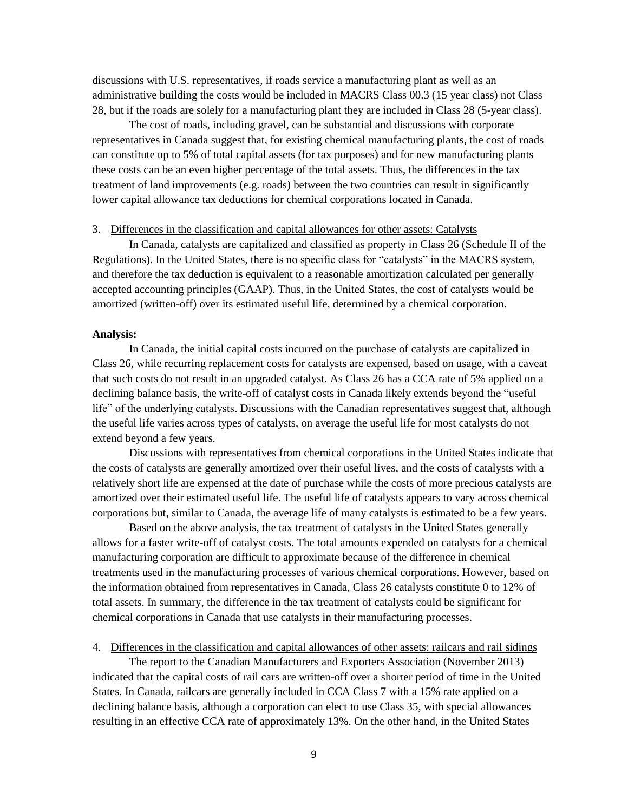discussions with U.S. representatives, if roads service a manufacturing plant as well as an administrative building the costs would be included in MACRS Class 00.3 (15 year class) not Class 28, but if the roads are solely for a manufacturing plant they are included in Class 28 (5-year class).

The cost of roads, including gravel, can be substantial and discussions with corporate representatives in Canada suggest that, for existing chemical manufacturing plants, the cost of roads can constitute up to 5% of total capital assets (for tax purposes) and for new manufacturing plants these costs can be an even higher percentage of the total assets. Thus, the differences in the tax treatment of land improvements (e.g. roads) between the two countries can result in significantly lower capital allowance tax deductions for chemical corporations located in Canada.

#### 3. Differences in the classification and capital allowances for other assets: Catalysts

In Canada, catalysts are capitalized and classified as property in Class 26 (Schedule II of the Regulations). In the United States, there is no specific class for "catalysts" in the MACRS system, and therefore the tax deduction is equivalent to a reasonable amortization calculated per generally accepted accounting principles (GAAP). Thus, in the United States, the cost of catalysts would be amortized (written-off) over its estimated useful life, determined by a chemical corporation.

#### **Analysis:**

In Canada, the initial capital costs incurred on the purchase of catalysts are capitalized in Class 26, while recurring replacement costs for catalysts are expensed, based on usage, with a caveat that such costs do not result in an upgraded catalyst. As Class 26 has a CCA rate of 5% applied on a declining balance basis, the write-off of catalyst costs in Canada likely extends beyond the "useful life" of the underlying catalysts. Discussions with the Canadian representatives suggest that, although the useful life varies across types of catalysts, on average the useful life for most catalysts do not extend beyond a few years.

Discussions with representatives from chemical corporations in the United States indicate that the costs of catalysts are generally amortized over their useful lives, and the costs of catalysts with a relatively short life are expensed at the date of purchase while the costs of more precious catalysts are amortized over their estimated useful life. The useful life of catalysts appears to vary across chemical corporations but, similar to Canada, the average life of many catalysts is estimated to be a few years.

Based on the above analysis, the tax treatment of catalysts in the United States generally allows for a faster write-off of catalyst costs. The total amounts expended on catalysts for a chemical manufacturing corporation are difficult to approximate because of the difference in chemical treatments used in the manufacturing processes of various chemical corporations. However, based on the information obtained from representatives in Canada, Class 26 catalysts constitute 0 to 12% of total assets. In summary, the difference in the tax treatment of catalysts could be significant for chemical corporations in Canada that use catalysts in their manufacturing processes.

#### 4. Differences in the classification and capital allowances of other assets: railcars and rail sidings

The report to the Canadian Manufacturers and Exporters Association (November 2013) indicated that the capital costs of rail cars are written-off over a shorter period of time in the United States. In Canada, railcars are generally included in CCA Class 7 with a 15% rate applied on a declining balance basis, although a corporation can elect to use Class 35, with special allowances resulting in an effective CCA rate of approximately 13%. On the other hand, in the United States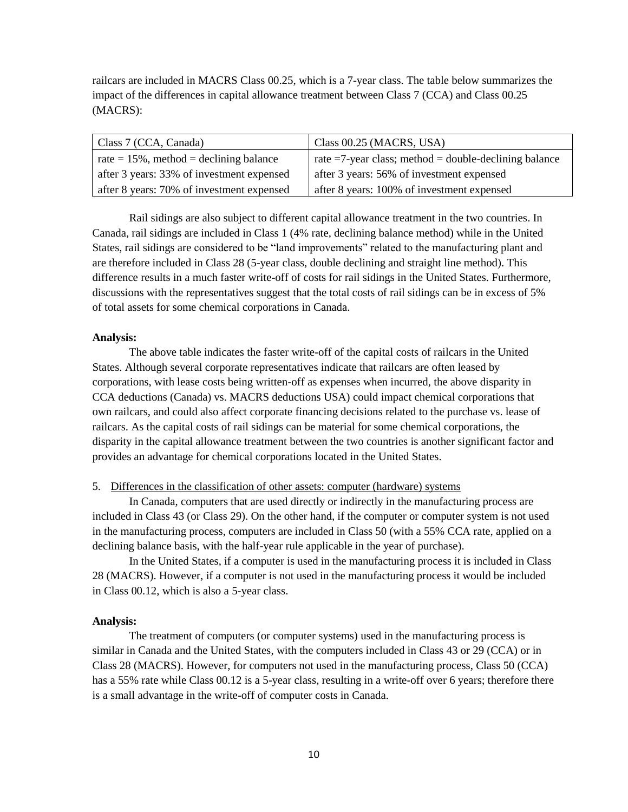railcars are included in MACRS Class 00.25, which is a 7-year class. The table below summarizes the impact of the differences in capital allowance treatment between Class 7 (CCA) and Class 00.25 (MACRS):

| Class 7 (CCA, Canada)                        | Class 00.25 (MACRS, USA)                                   |
|----------------------------------------------|------------------------------------------------------------|
| rate $= 15\%$ , method $=$ declining balance | rate $=7$ -year class; method $=$ double-declining balance |
| after 3 years: 33% of investment expensed    | after 3 years: 56% of investment expensed                  |
| after 8 years: 70% of investment expensed    | after 8 years: 100% of investment expensed                 |

Rail sidings are also subject to different capital allowance treatment in the two countries. In Canada, rail sidings are included in Class 1 (4% rate, declining balance method) while in the United States, rail sidings are considered to be "land improvements" related to the manufacturing plant and are therefore included in Class 28 (5-year class, double declining and straight line method). This difference results in a much faster write-off of costs for rail sidings in the United States. Furthermore, discussions with the representatives suggest that the total costs of rail sidings can be in excess of 5% of total assets for some chemical corporations in Canada.

### **Analysis:**

The above table indicates the faster write-off of the capital costs of railcars in the United States. Although several corporate representatives indicate that railcars are often leased by corporations, with lease costs being written-off as expenses when incurred, the above disparity in CCA deductions (Canada) vs. MACRS deductions USA) could impact chemical corporations that own railcars, and could also affect corporate financing decisions related to the purchase vs. lease of railcars. As the capital costs of rail sidings can be material for some chemical corporations, the disparity in the capital allowance treatment between the two countries is another significant factor and provides an advantage for chemical corporations located in the United States.

### 5. Differences in the classification of other assets: computer (hardware) systems

In Canada, computers that are used directly or indirectly in the manufacturing process are included in Class 43 (or Class 29). On the other hand, if the computer or computer system is not used in the manufacturing process, computers are included in Class 50 (with a 55% CCA rate, applied on a declining balance basis, with the half-year rule applicable in the year of purchase).

In the United States, if a computer is used in the manufacturing process it is included in Class 28 (MACRS). However, if a computer is not used in the manufacturing process it would be included in Class 00.12, which is also a 5-year class.

#### **Analysis:**

The treatment of computers (or computer systems) used in the manufacturing process is similar in Canada and the United States, with the computers included in Class 43 or 29 (CCA) or in Class 28 (MACRS). However, for computers not used in the manufacturing process, Class 50 (CCA) has a 55% rate while Class 00.12 is a 5-year class, resulting in a write-off over 6 years; therefore there is a small advantage in the write-off of computer costs in Canada.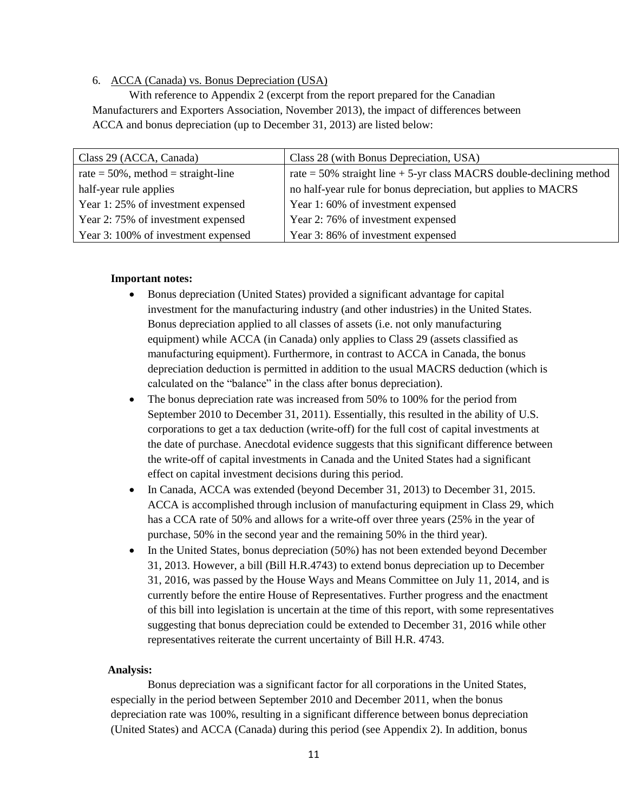# 6. ACCA (Canada) vs. Bonus Depreciation (USA)

With reference to Appendix 2 (excerpt from the report prepared for the Canadian Manufacturers and Exporters Association, November 2013), the impact of differences between ACCA and bonus depreciation (up to December 31, 2013) are listed below:

| Class 29 (ACCA, Canada)                | Class 28 (with Bonus Depreciation, USA)                                 |
|----------------------------------------|-------------------------------------------------------------------------|
| rate = $50\%$ , method = straight-line | rate $=$ 50% straight line $+$ 5-yr class MACRS double-declining method |
| half-year rule applies                 | no half-year rule for bonus depreciation, but applies to MACRS          |
| Year 1:25% of investment expensed      | Year 1:60% of investment expensed                                       |
| Year 2:75% of investment expensed      | Year 2: 76% of investment expensed                                      |
| Year 3: 100% of investment expensed    | Year 3:86% of investment expensed                                       |

#### **Important notes:**

- Bonus depreciation (United States) provided a significant advantage for capital investment for the manufacturing industry (and other industries) in the United States. Bonus depreciation applied to all classes of assets (i.e. not only manufacturing equipment) while ACCA (in Canada) only applies to Class 29 (assets classified as manufacturing equipment). Furthermore, in contrast to ACCA in Canada, the bonus depreciation deduction is permitted in addition to the usual MACRS deduction (which is calculated on the "balance" in the class after bonus depreciation).
- The bonus depreciation rate was increased from 50% to 100% for the period from September 2010 to December 31, 2011). Essentially, this resulted in the ability of U.S. corporations to get a tax deduction (write-off) for the full cost of capital investments at the date of purchase. Anecdotal evidence suggests that this significant difference between the write-off of capital investments in Canada and the United States had a significant effect on capital investment decisions during this period.
- In Canada, ACCA was extended (beyond December 31, 2013) to December 31, 2015. ACCA is accomplished through inclusion of manufacturing equipment in Class 29, which has a CCA rate of 50% and allows for a write-off over three years (25% in the year of purchase, 50% in the second year and the remaining 50% in the third year).
- In the United States, bonus depreciation (50%) has not been extended beyond December 31, 2013. However, a bill (Bill H.R.4743) to extend bonus depreciation up to December 31, 2016, was passed by the House Ways and Means Committee on July 11, 2014, and is currently before the entire House of Representatives. Further progress and the enactment of this bill into legislation is uncertain at the time of this report, with some representatives suggesting that bonus depreciation could be extended to December 31, 2016 while other representatives reiterate the current uncertainty of Bill H.R. 4743.

#### **Analysis:**

Bonus depreciation was a significant factor for all corporations in the United States, especially in the period between September 2010 and December 2011, when the bonus depreciation rate was 100%, resulting in a significant difference between bonus depreciation (United States) and ACCA (Canada) during this period (see Appendix 2). In addition, bonus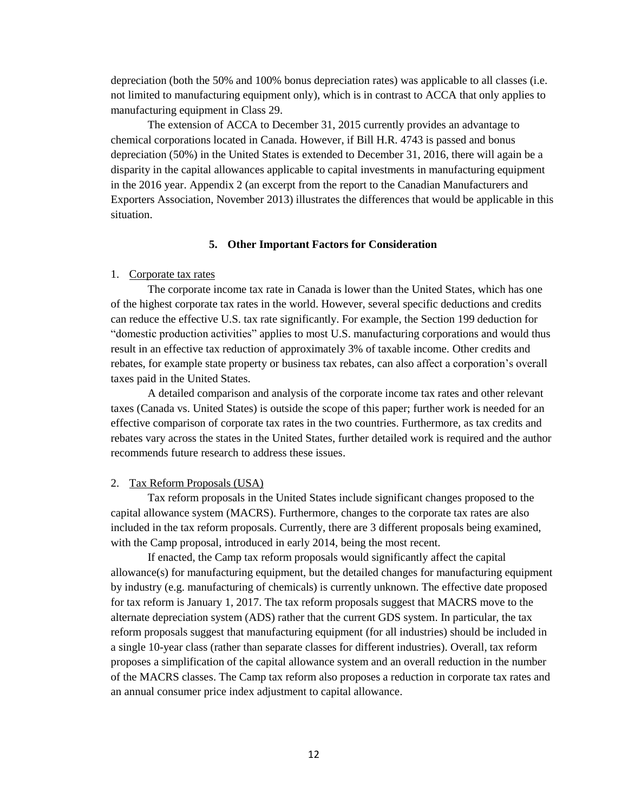depreciation (both the 50% and 100% bonus depreciation rates) was applicable to all classes (i.e. not limited to manufacturing equipment only), which is in contrast to ACCA that only applies to manufacturing equipment in Class 29.

The extension of ACCA to December 31, 2015 currently provides an advantage to chemical corporations located in Canada. However, if Bill H.R. 4743 is passed and bonus depreciation (50%) in the United States is extended to December 31, 2016, there will again be a disparity in the capital allowances applicable to capital investments in manufacturing equipment in the 2016 year. Appendix 2 (an excerpt from the report to the Canadian Manufacturers and Exporters Association, November 2013) illustrates the differences that would be applicable in this situation.

#### **5. Other Important Factors for Consideration**

#### 1. Corporate tax rates

The corporate income tax rate in Canada is lower than the United States, which has one of the highest corporate tax rates in the world. However, several specific deductions and credits can reduce the effective U.S. tax rate significantly. For example, the Section 199 deduction for "domestic production activities" applies to most U.S. manufacturing corporations and would thus result in an effective tax reduction of approximately 3% of taxable income. Other credits and rebates, for example state property or business tax rebates, can also affect a corporation's overall taxes paid in the United States.

A detailed comparison and analysis of the corporate income tax rates and other relevant taxes (Canada vs. United States) is outside the scope of this paper; further work is needed for an effective comparison of corporate tax rates in the two countries. Furthermore, as tax credits and rebates vary across the states in the United States, further detailed work is required and the author recommends future research to address these issues.

#### 2. Tax Reform Proposals (USA)

Tax reform proposals in the United States include significant changes proposed to the capital allowance system (MACRS). Furthermore, changes to the corporate tax rates are also included in the tax reform proposals. Currently, there are 3 different proposals being examined, with the Camp proposal, introduced in early 2014, being the most recent.

If enacted, the Camp tax reform proposals would significantly affect the capital allowance(s) for manufacturing equipment, but the detailed changes for manufacturing equipment by industry (e.g. manufacturing of chemicals) is currently unknown. The effective date proposed for tax reform is January 1, 2017. The tax reform proposals suggest that MACRS move to the alternate depreciation system (ADS) rather that the current GDS system. In particular, the tax reform proposals suggest that manufacturing equipment (for all industries) should be included in a single 10-year class (rather than separate classes for different industries). Overall, tax reform proposes a simplification of the capital allowance system and an overall reduction in the number of the MACRS classes. The Camp tax reform also proposes a reduction in corporate tax rates and an annual consumer price index adjustment to capital allowance.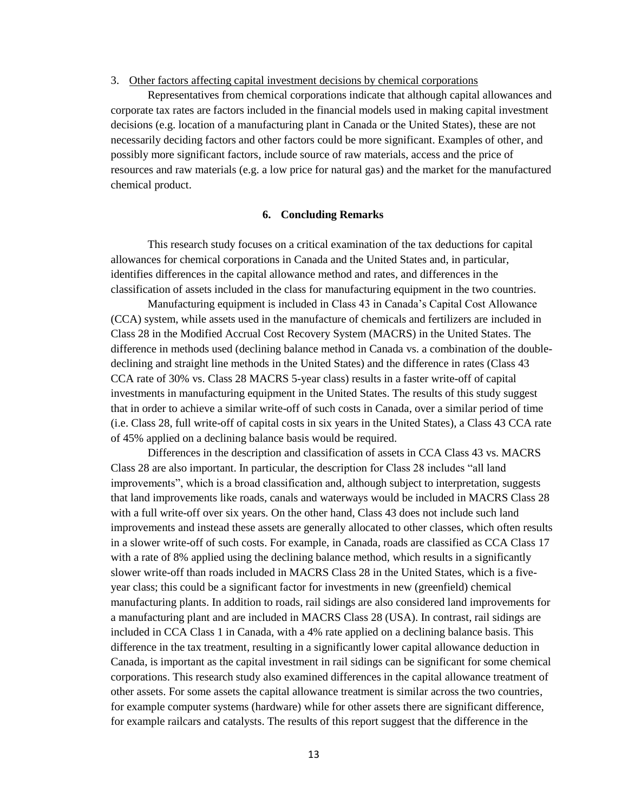#### 3. Other factors affecting capital investment decisions by chemical corporations

Representatives from chemical corporations indicate that although capital allowances and corporate tax rates are factors included in the financial models used in making capital investment decisions (e.g. location of a manufacturing plant in Canada or the United States), these are not necessarily deciding factors and other factors could be more significant. Examples of other, and possibly more significant factors, include source of raw materials, access and the price of resources and raw materials (e.g. a low price for natural gas) and the market for the manufactured chemical product.

#### **6. Concluding Remarks**

This research study focuses on a critical examination of the tax deductions for capital allowances for chemical corporations in Canada and the United States and, in particular, identifies differences in the capital allowance method and rates, and differences in the classification of assets included in the class for manufacturing equipment in the two countries.

Manufacturing equipment is included in Class 43 in Canada's Capital Cost Allowance (CCA) system, while assets used in the manufacture of chemicals and fertilizers are included in Class 28 in the Modified Accrual Cost Recovery System (MACRS) in the United States. The difference in methods used (declining balance method in Canada vs. a combination of the doubledeclining and straight line methods in the United States) and the difference in rates (Class 43 CCA rate of 30% vs. Class 28 MACRS 5-year class) results in a faster write-off of capital investments in manufacturing equipment in the United States. The results of this study suggest that in order to achieve a similar write-off of such costs in Canada, over a similar period of time (i.e. Class 28, full write-off of capital costs in six years in the United States), a Class 43 CCA rate of 45% applied on a declining balance basis would be required.

Differences in the description and classification of assets in CCA Class 43 vs. MACRS Class 28 are also important. In particular, the description for Class 28 includes "all land improvements", which is a broad classification and, although subject to interpretation, suggests that land improvements like roads, canals and waterways would be included in MACRS Class 28 with a full write-off over six years. On the other hand, Class 43 does not include such land improvements and instead these assets are generally allocated to other classes, which often results in a slower write-off of such costs. For example, in Canada, roads are classified as CCA Class 17 with a rate of 8% applied using the declining balance method, which results in a significantly slower write-off than roads included in MACRS Class 28 in the United States, which is a fiveyear class; this could be a significant factor for investments in new (greenfield) chemical manufacturing plants. In addition to roads, rail sidings are also considered land improvements for a manufacturing plant and are included in MACRS Class 28 (USA). In contrast, rail sidings are included in CCA Class 1 in Canada, with a 4% rate applied on a declining balance basis. This difference in the tax treatment, resulting in a significantly lower capital allowance deduction in Canada, is important as the capital investment in rail sidings can be significant for some chemical corporations. This research study also examined differences in the capital allowance treatment of other assets. For some assets the capital allowance treatment is similar across the two countries, for example computer systems (hardware) while for other assets there are significant difference, for example railcars and catalysts. The results of this report suggest that the difference in the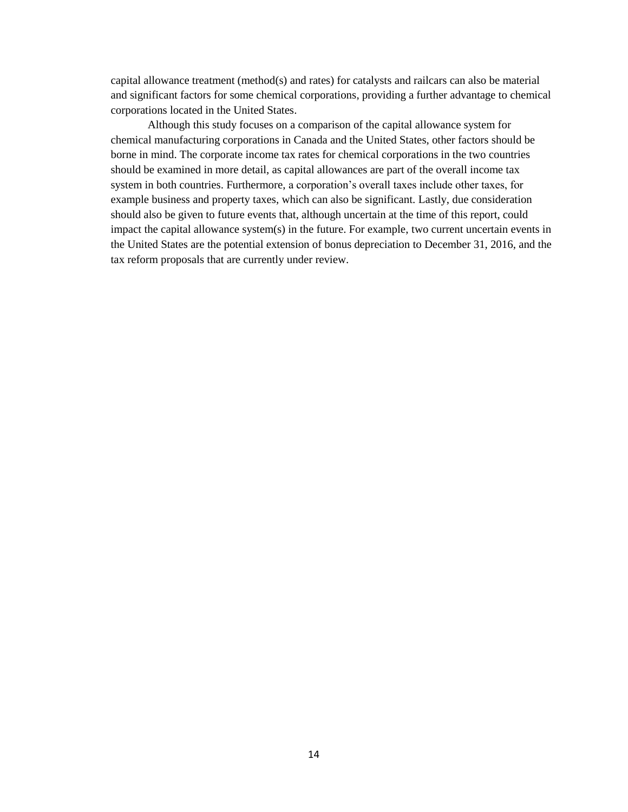capital allowance treatment (method(s) and rates) for catalysts and railcars can also be material and significant factors for some chemical corporations, providing a further advantage to chemical corporations located in the United States.

Although this study focuses on a comparison of the capital allowance system for chemical manufacturing corporations in Canada and the United States, other factors should be borne in mind. The corporate income tax rates for chemical corporations in the two countries should be examined in more detail, as capital allowances are part of the overall income tax system in both countries. Furthermore, a corporation's overall taxes include other taxes, for example business and property taxes, which can also be significant. Lastly, due consideration should also be given to future events that, although uncertain at the time of this report, could impact the capital allowance system(s) in the future. For example, two current uncertain events in the United States are the potential extension of bonus depreciation to December 31, 2016, and the tax reform proposals that are currently under review.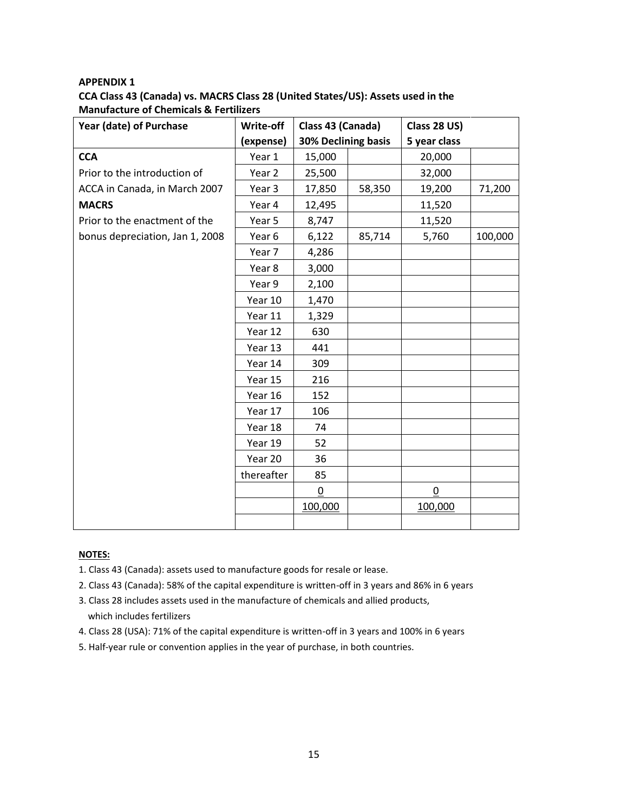# **APPENDIX 1 CCA Class 43 (Canada) vs. MACRS Class 28 (United States/US): Assets used in the Manufacture of Chemicals & Fertilizers**

| Year (date) of Purchase         | Write-off  | Class 43 (Canada)   |        | Class 28 US)    |         |
|---------------------------------|------------|---------------------|--------|-----------------|---------|
|                                 | (expense)  | 30% Declining basis |        | 5 year class    |         |
| <b>CCA</b>                      | Year 1     | 15,000              |        | 20,000          |         |
| Prior to the introduction of    | Year 2     | 25,500              |        | 32,000          |         |
| ACCA in Canada, in March 2007   | Year 3     | 17,850              | 58,350 | 19,200          | 71,200  |
| <b>MACRS</b>                    | Year 4     | 12,495              |        | 11,520          |         |
| Prior to the enactment of the   | Year 5     | 8,747               |        | 11,520          |         |
| bonus depreciation, Jan 1, 2008 | Year 6     | 6,122               | 85,714 | 5,760           | 100,000 |
|                                 | Year 7     | 4,286               |        |                 |         |
|                                 | Year 8     | 3,000               |        |                 |         |
|                                 | Year 9     | 2,100               |        |                 |         |
|                                 | Year 10    | 1,470               |        |                 |         |
|                                 | Year 11    | 1,329               |        |                 |         |
|                                 | Year 12    | 630                 |        |                 |         |
|                                 | Year 13    | 441                 |        |                 |         |
|                                 | Year 14    | 309                 |        |                 |         |
|                                 | Year 15    | 216                 |        |                 |         |
|                                 | Year 16    | 152                 |        |                 |         |
|                                 | Year 17    | 106                 |        |                 |         |
|                                 | Year 18    | 74                  |        |                 |         |
|                                 | Year 19    | 52                  |        |                 |         |
|                                 | Year 20    | 36                  |        |                 |         |
|                                 | thereafter | 85                  |        |                 |         |
|                                 |            | $\pmb{0}$           |        | $\underline{0}$ |         |
|                                 |            | 100,000             |        | 100,000         |         |
|                                 |            |                     |        |                 |         |

## **NOTES:**

- 1. Class 43 (Canada): assets used to manufacture goods for resale or lease.
- 2. Class 43 (Canada): 58% of the capital expenditure is written-off in 3 years and 86% in 6 years
- 3. Class 28 includes assets used in the manufacture of chemicals and allied products, which includes fertilizers
- 4. Class 28 (USA): 71% of the capital expenditure is written-off in 3 years and 100% in 6 years
- 5. Half-year rule or convention applies in the year of purchase, in both countries.